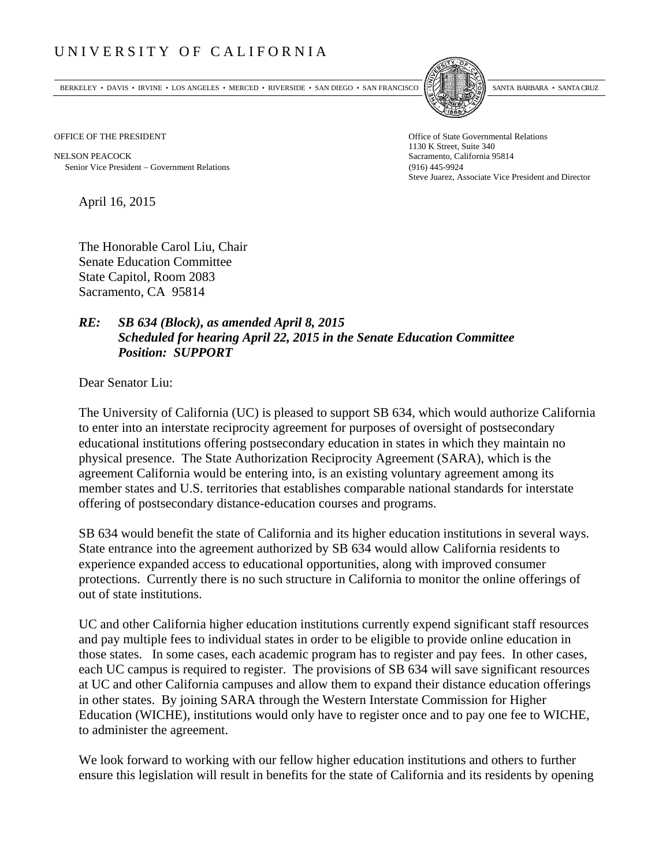## UNIVERSITY OF CALIFORNIA

BERKELEY • DAVIS • IRVINE • LOS ANGELES • MERCED • RIVERSIDE • SAN DIEGO • SAN FRANCISCO SANTA BARBARA • SANTA CRUZ



OFFICE OF THE PRESIDENT STATES OF THE PRESIDENT

NELSON PEACOCK Sacramento, California 95814 Senior Vice President Government Relations (916) 445-9924

1130 K Street, Suite 340 Steve Juarez, Associate Vice President and Director

April 16, 2015

The Honorable Carol Liu, Chair Senate Education Committee State Capitol, Room 2083 Sacramento, CA 95814

## *RE: SB 634 (Block), as amended April 8, 2015 Scheduled for hearing April 22, 2015 in the Senate Education Committee Position: SUPPORT*

Dear Senator Liu:

The University of California (UC) is pleased to support SB 634, which would authorize California to enter into an interstate reciprocity agreement for purposes of oversight of postsecondary educational institutions offering postsecondary education in states in which they maintain no physical presence. The State Authorization Reciprocity Agreement (SARA), which is the agreement California would be entering into, is an existing voluntary agreement among its member states and U.S. territories that establishes comparable national standards for interstate offering of postsecondary distance-education courses and programs.

SB 634 would benefit the state of California and its higher education institutions in several ways. State entrance into the agreement authorized by SB 634 would allow California residents to experience expanded access to educational opportunities, along with improved consumer protections. Currently there is no such structure in California to monitor the online offerings of out of state institutions.

UC and other California higher education institutions currently expend significant staff resources and pay multiple fees to individual states in order to be eligible to provide online education in those states. In some cases, each academic program has to register and pay fees. In other cases, each UC campus is required to register. The provisions of SB 634 will save significant resources at UC and other California campuses and allow them to expand their distance education offerings in other states. By joining SARA through the Western Interstate Commission for Higher Education (WICHE), institutions would only have to register once and to pay one fee to WICHE, to administer the agreement.

We look forward to working with our fellow higher education institutions and others to further ensure this legislation will result in benefits for the state of California and its residents by opening